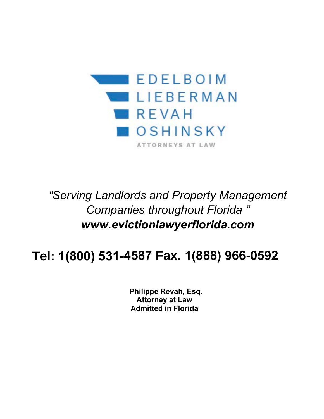

*"Serving Landlords and Property Management Companies throughout Florida " www.evictionlawyerflorida.com*

# **Tel: 1(800) 531-4587 Fax. 1(888) 966-0592**

**Philippe Revah, Esq. [Attorn](http://www.evict.com/)e[y at Law](mailto:INFO@EVICT.COM) Admitted in Florida**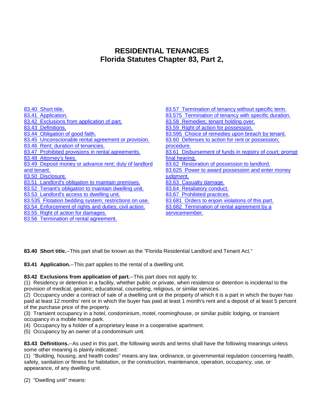# **RESIDENTIAL TENANCIES Florida Statutes Chapter 83, Part 2,**

- [83.40 Short title.](#page-1-0)  [83.41 Application.](#page-1-1)  [83.42 Exclusions from application of part.](#page-1-2)  [83.43 Definitions.](#page-1-3)  [83.44 Obligation of good faith.](#page-2-0)  83.45 Unconscionable rental agreement or provision. [83.46 Rent; duration of tenancies.](#page-2-2)  83.47 Prohibited provisions in rental agreements. [83.48 Attorney's fees.](#page-3-1)  [83.49 Deposit money or advance rent; duty of landlord](#page-3-2)  [and tenant.](#page-3-2)  [83.50 Disclosure.](#page-5-0)  [83.51 Landlord's obligation to maintain premises.](#page-5-1)  [83.52 Tenant's obligation to maintain dwelling unit.](#page-6-0)  [83.53 Landlord's access to dwelling unit.](#page-6-1)  83.535 Flotation bedding system; restrictions on use. [83.54 Enforcement of rights and duties; civil action.](#page-6-3)  [83.55 Right of action for damages.](#page-6-3)  [83.56 Termination of rental agreement.](#page-7-0)  [83.57 Termination of tenancy without specific term.](#page-8-0)  [83.575 Termination of tenancy with specific duration.](#page-8-1)  [83.58 Remedies; tenant holding over.](#page-8-2)  [83.59 Right of action for possession.](#page-8-3)  [83.595 Choice of remedies upon breach by tenant.](#page-9-0)  [83.60 Defenses to action for rent or possession;](#page-9-1)  [procedure.](#page-9-1)  [83.61 Disbursement of funds in registry of court; prompt](#page-10-0)  [final hearing.](#page-10-0)  [83.62 Restoration of possession to landlord.](#page-10-1)  [83.625 Power to award possession and enter money](#page-10-2)  judgment. [83.63 Casualty damage.](#page-11-0)  [83.64 Retaliatory conduct.](#page-11-1)  [83.67 Prohibited practices.](#page-11-2)  83.681 Orders to enjoin violations of this part. 83.682 Termination of rental agreement by a [servicemember.](#page-12-1)
- <span id="page-1-1"></span><span id="page-1-0"></span>**83.40 Short title.**--This part shall be known as the "Florida Residential Landlord and Tenant Act."

**83.41 Application.**--This part applies to the rental of a dwelling unit.

<span id="page-1-2"></span>**83.42 Exclusions from application of part.**--This part does not apply to:

(1) Residency or detention in a facility, whether public or private, when residence or detention is incidental to the provision of medical, geriatric, educational, counseling, religious, or similar services.

(2) Occupancy under a contract of sale of a dwelling unit or the property of which it is a part in which the buyer has paid at least 12 months' rent or in which the buyer has paid at least 1 month's rent and a deposit of at least 5 percent of the purchase price of the property.

(3) Transient occupancy in a hotel, condominium, motel, roominghouse, or similar public lodging, or transient occupancy in a mobile home park.

- (4) Occupancy by a holder of a proprietary lease in a cooperative apartment.
- (5) Occupancy by an owner of a condominium unit.

<span id="page-1-3"></span>**83.43 Definitions.**--As used in this part, the following words and terms shall have the following meanings unless some other meaning is plainly indicated:

(1) "Building, housing, and health codes" means any law, ordinance, or governmental regulation concerning health, safety, sanitation or fitness for habitation, or the construction, maintenance, operation, occupancy, use, or appearance, of any dwelling unit.

(2) "Dwelling unit" means: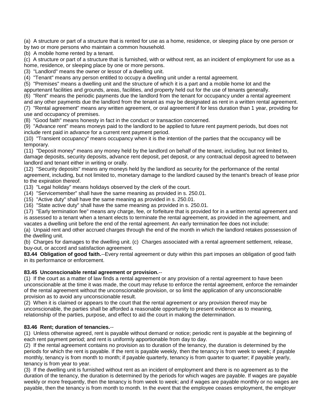(a) A structure or part of a structure that is rented for use as a home, residence, or sleeping place by one person or by two or more persons who maintain a common household.

(b) A mobile home rented by a tenant.

(c) A structure or part of a structure that is furnished, with or without rent, as an incident of employment for use as a home, residence, or sleeping place by one or more persons.

(3) "Landlord" means the owner or lessor of a dwelling unit.

(4) "Tenant" means any person entitled to occupy a dwelling unit under a rental agreement.

(5) "Premises" means a dwelling unit and the structure of which it is a part and a mobile home lot and the appurtenant facilities and grounds, areas, facilities, and property held out for the use of tenants generally.

(6) "Rent" means the periodic payments due the landlord from the tenant for occupancy under a rental agreement and any other payments due the landlord from the tenant as may be designated as rent in a written rental agreement.

(7) "Rental agreement" means any written agreement, or oral agreement if for less duration than 1 year, providing for use and occupancy of premises.

(8) "Good faith" means honesty in fact in the conduct or transaction concerned.

(9) "Advance rent" means moneys paid to the landlord to be applied to future rent payment periods, but does not include rent paid in advance for a current rent payment period.

(10) "Transient occupancy" means occupancy when it is the intention of the parties that the occupancy will be temporary.

(11) "Deposit money" means any money held by the landlord on behalf of the tenant, including, but not limited to, damage deposits, security deposits, advance rent deposit, pet deposit, or any contractual deposit agreed to between landlord and tenant either in writing or orally.

(12) "Security deposits" means any moneys held by the landlord as security for the performance of the rental agreement, including, but not limited to, monetary damage to the landlord caused by the tenant's breach of lease prior to the expiration thereof.

(13) "Legal holiday" means holidays observed by the clerk of the court.

(14) "Servicemember" shall have the same meaning as provided in s. 250.01.

(15) "Active duty" shall have the same meaning as provided in s. 250.01.

(16) "State active duty" shall have the same meaning as provided in s. 250.01.

(17) "Early termination fee" means any charge, fee, or forfeiture that is provided for in a written rental agreement and is assessed to a tenant when a tenant elects to terminate the rental agreement, as provided in the agreement, and vacates a dwelling unit before the end of the rental agreement. An early termination fee does not include:

(a) Unpaid rent and other accrued charges through the end of the month in which the landlord retakes possession of the dwelling unit.

(b) Charges for damages to the dwelling unit. (c) Charges associated with a rental agreement settlement, release, buy-out, or accord and satisfaction agreement.

<span id="page-2-0"></span>**83.44 Obligation of good faith.**--Every rental agreement or duty within this part imposes an obligation of good faith in its performance or enforcement.

#### <span id="page-2-1"></span>**83.45 Unconscionable rental agreement or provision.**--

(1) If the court as a matter of law finds a rental agreement or any provision of a rental agreement to have been unconscionable at the time it was made, the court may refuse to enforce the rental agreement, enforce the remainder of the rental agreement without the unconscionable provision, or so limit the application of any unconscionable provision as to avoid any unconscionable result.

(2) When it is claimed or appears to the court that the rental agreement or any provision thereof may be unconscionable, the parties shall be afforded a reasonable opportunity to present evidence as to meaning, relationship of the parties, purpose, and effect to aid the court in making the determination.

#### <span id="page-2-2"></span>**83.46 Rent; duration of tenancies.**--

(1) Unless otherwise agreed, rent is payable without demand or notice; periodic rent is payable at the beginning of each rent payment period; and rent is uniformly apportionable from day to day.

(2) If the rental agreement contains no provision as to duration of the tenancy, the duration is determined by the periods for which the rent is payable. If the rent is payable weekly, then the tenancy is from week to week; if payable monthly, tenancy is from month to month; if payable quarterly, tenancy is from quarter to quarter; if payable yearly, tenancy is from year to year.

(3) If the dwelling unit is furnished without rent as an incident of employment and there is no agreement as to the duration of the tenancy, the duration is determined by the periods for which wages are payable. If wages are payable weekly or more frequently, then the tenancy is from week to week; and if wages are payable monthly or no wages are payable, then the tenancy is from month to month. In the event that the employee ceases employment, the employer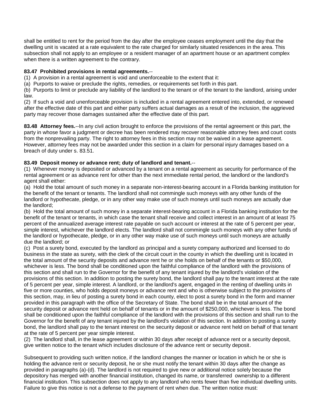shall be entitled to rent for the period from the day after the employee ceases employment until the day that the dwelling unit is vacated at a rate equivalent to the rate charged for similarly situated residences in the area. This subsection shall not apply to an employee or a resident manager of an apartment house or an apartment complex when there is a written agreement to the contrary.

#### <span id="page-3-0"></span>**83.47 Prohibited provisions in rental agreements.**--

(1) A provision in a rental agreement is void and unenforceable to the extent that it:

(a) Purports to waive or preclude the rights, remedies, or requirements set forth in this part.

(b) Purports to limit or preclude any liability of the landlord to the tenant or of the tenant to the landlord, arising under law.

(2) If such a void and unenforceable provision is included in a rental agreement entered into, extended, or renewed after the effective date of this part and either party suffers actual damages as a result of the inclusion, the aggrieved party may recover those damages sustained after the effective date of this part.

<span id="page-3-1"></span>**83.48 Attorney fees.**--In any civil action brought to enforce the provisions of the rental agreement or this part, the party in whose favor a judgment or decree has been rendered may recover reasonable attorney fees and court costs from the nonprevailing party. The right to attorney fees in this section may not be waived in a lease agreement. However, attorney fees may not be awarded under this section in a claim for personal injury damages based on a breach of duty under s. 83.51.

#### <span id="page-3-2"></span>**83.49 Deposit money or advance rent; duty of landlord and tenant.**--

(1) Whenever money is deposited or advanced by a tenant on a rental agreement as security for performance of the rental agreement or as advance rent for other than the next immediate rental period, the landlord or the landlord's agent shall either:

(a) Hold the total amount of such money in a separate non-interest-bearing account in a Florida banking institution for the benefit of the tenant or tenants. The landlord shall not commingle such moneys with any other funds of the landlord or hypothecate, pledge, or in any other way make use of such moneys until such moneys are actually due the landlord;

(b) Hold the total amount of such money in a separate interest-bearing account in a Florida banking institution for the benefit of the tenant or tenants, in which case the tenant shall receive and collect interest in an amount of at least 75 percent of the annualized average interest rate payable on such account or interest at the rate of 5 percent per year, simple interest, whichever the landlord elects. The landlord shall not commingle such moneys with any other funds of the landlord or hypothecate, pledge, or in any other way make use of such moneys until such moneys are actually due the landlord; or

(c) Post a surety bond, executed by the landlord as principal and a surety company authorized and licensed to do business in the state as surety, with the clerk of the circuit court in the county in which the dwelling unit is located in the total amount of the security deposits and advance rent he or she holds on behalf of the tenants or \$50,000, whichever is less. The bond shall be conditioned upon the faithful compliance of the landlord with the provisions of this section and shall run to the Governor for the benefit of any tenant injured by the landlord's violation of the provisions of this section. In addition to posting the surety bond, the landlord shall pay to the tenant interest at the rate of 5 percent per year, simple interest. A landlord, or the landlord's agent, engaged in the renting of dwelling units in five or more counties, who holds deposit moneys or advance rent and who is otherwise subject to the provisions of this section, may, in lieu of posting a surety bond in each county, elect to post a surety bond in the form and manner provided in this paragraph with the office of the Secretary of State. The bond shall be in the total amount of the security deposit or advance rent held on behalf of tenants or in the amount of \$250,000, whichever is less. The bond shall be conditioned upon the faithful compliance of the landlord with the provisions of this section and shall run to the Governor for the benefit of any tenant injured by the landlord's violation of this section. In addition to posting a surety bond, the landlord shall pay to the tenant interest on the security deposit or advance rent held on behalf of that tenant at the rate of 5 percent per year simple interest.

(2) The landlord shall, in the lease agreement or within 30 days after receipt of advance rent or a security deposit, give written notice to the tenant which includes disclosure of the advance rent or security deposit.

Subsequent to providing such written notice, if the landlord changes the manner or location in which he or she is holding the advance rent or security deposit, he or she must notify the tenant within 30 days after the change as provided in paragraphs (a)-(d). The landlord is not required to give new or additional notice solely because the depository has merged with another financial institution, changed its name, or transferred ownership to a different financial institution. This subsection does not apply to any landlord who rents fewer than five individual dwelling units. Failure to give this notice is not a defense to the payment of rent when due. The written notice must: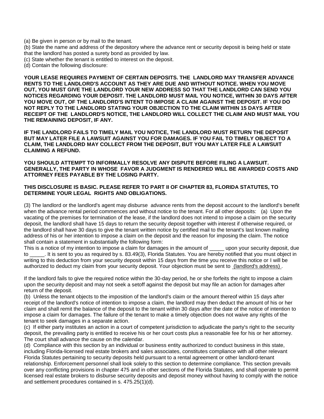(a) Be given in person or by mail to the tenant.

(b) State the name and address of the depository where the advance rent or security deposit is being held or state that the landlord has posted a surety bond as provided by law.

(c) State whether the tenant is entitled to interest on the deposit.

(d) Contain the following disclosure:

**YOUR LEASE REQUIRES PAYMENT OF CERTAIN DEPOSITS. THE LANDLORD MAY TRANSFER ADVANCE RENTS TO THE LANDLORD'S ACCOUNT AS THEY ARE DUE AND WITHOUT NOTICE. WHEN YOU MOVE OUT, YOU MUST GIVE THE LANDLORD YOUR NEW ADDRESS SO THAT THE LANDLORD CAN SEND YOU NOTICES REGARDING YOUR DEPOSIT. THE LANDLORD MUST MAIL YOU NOTICE, WITHIN 30 DAYS AFTER YOU MOVE OUT, OF THE LANDLORD'S INTENT TO IMPOSE A CLAIM AGAINST THE DEPOSIT. IF YOU DO NOT REPLY TO THE LANDLORD STATING YOUR OBJECTION TO THE CLAIM WITHIN 15 DAYS AFTER RECEIPT OF THE LANDLORD'S NOTICE, THE LANDLORD WILL COLLECT THE CLAIM AND MUST MAIL YOU THE REMAINING DEPOSIT, IF ANY.** 

**IF THE LANDLORD FAILS TO TIMELY MAIL YOU NOTICE, THE LANDLORD MUST RETURN THE DEPOSIT BUT MAY LATER FILE A LAWSUIT AGAINST YOU FOR DAMAGES. IF YOU FAIL TO TIMELY OBJECT TO A CLAIM, THE LANDLORD MAY COLLECT FROM THE DEPOSIT, BUT YOU MAY LATER FILE A LAWSUIT CLAIMING A REFUND.** 

**YOU SHOULD ATTEMPT TO INFORMALLY RESOLVE ANY DISPUTE BEFORE FILING A LAWSUIT. GENERALLY, THE PARTY IN WHOSE FAVOR A JUDGMENT IS RENDERED WILL BE AWARDED COSTS AND ATTORNEY FEES PAYABLE BY THE LOSING PARTY.** 

#### **THIS DISCLOSURE IS BASIC. PLEASE REFER TO PART II OF CHAPTER 83, FLORIDA STATUTES, TO DETERMINE YOUR LEGAL RIGHTS AND OBLIGATIONS.**

(3) The landlord or the landlord's agent may disburse advance rents from the deposit account to the landlord's benefit when the advance rental period commences and without notice to the tenant. For all other deposits: (a) Upon the vacating of the premises for termination of the lease, if the landlord does not intend to impose a claim on the security deposit, the landlord shall have 15 days to return the security deposit together with interest if otherwise required, or the landlord shall have 30 days to give the tenant written notice by certified mail to the tenant's last known mailing address of his or her intention to impose a claim on the deposit and the reason for imposing the claim. The notice shall contain a statement in substantially the following form:

This is a notice of my intention to impose a claim for damages in the amount of \_\_\_\_\_ upon your security deposit, due to the is sent to you as required by s. 83.49(3). Florida Statutes. You are hereby notified that you must object in writing to this deduction from your security deposit within 15 days from the time you receive this notice or I will be authorized to deduct my claim from your security deposit. Your objection must be sent to (landlord's address) .

If the landlord fails to give the required notice within the 30-day period, he or she forfeits the right to impose a claim upon the security deposit and may not seek a setoff against the deposit but may file an action for damages after return of the deposit.

(b) Unless the tenant objects to the imposition of the landlord's claim or the amount thereof within 15 days after receipt of the landlord's notice of intention to impose a claim, the landlord may then deduct the amount of his or her claim and shall remit the balance of the deposit to the tenant within 30 days after the date of the notice of intention to impose a claim for damages. The failure of the tenant to make a timely objection does not waive any rights of the tenant to seek damages in a separate action.

(c) If either party institutes an action in a court of competent jurisdiction to adjudicate the party's right to the security deposit, the prevailing party is entitled to receive his or her court costs plus a reasonable fee for his or her attorney. The court shall advance the cause on the calendar.

(d) Compliance with this section by an individual or business entity authorized to conduct business in this state, including Florida-licensed real estate brokers and sales associates, constitutes compliance with all other relevant Florida Statutes pertaining to security deposits held pursuant to a rental agreement or other landlord-tenant relationship. Enforcement personnel shall look solely to this section to determine compliance. This section prevails over any conflicting provisions in chapter 475 and in other sections of the Florida Statutes, and shall operate to permit licensed real estate brokers to disburse security deposits and deposit money without having to comply with the notice and settlement procedures contained in s. 475.25(1)(d).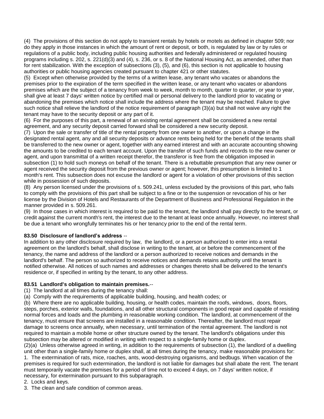(4) The provisions of this section do not apply to transient rentals by hotels or motels as defined in chapter 509; nor do they apply in those instances in which the amount of rent or deposit, or both, is regulated by law or by rules or regulations of a public body, including public housing authorities and federally administered or regulated housing programs including s. 202, s. 221(d)(3) and (4), s. 236, or s. 8 of the National Housing Act, as amended, other than for rent stabilization. With the exception of subsections (3), (5), and (6), this section is not applicable to housing authorities or public housing agencies created pursuant to chapter 421 or other statutes.

(5) Except when otherwise provided by the terms of a written lease, any tenant who vacates or abandons the premises prior to the expiration of the term specified in the written lease, or any tenant who vacates or abandons premises which are the subject of a tenancy from week to week, month to month, quarter to quarter, or year to year, shall give at least 7 days' written notice by certified mail or personal delivery to the landlord prior to vacating or abandoning the premises which notice shall include the address where the tenant may be reached. Failure to give such notice shall relieve the landlord of the notice requirement of paragraph (3)(a) but shall not waive any right the tenant may have to the security deposit or any part of it.

(6) For the purposes of this part, a renewal of an existing rental agreement shall be considered a new rental agreement, and any security deposit carried forward shall be considered a new security deposit.

(7) Upon the sale or transfer of title of the rental property from one owner to another, or upon a change in the designated rental agent, any and all security deposits or advance rents being held for the benefit of the tenants shall be transferred to the new owner or agent, together with any earned interest and with an accurate accounting showing the amounts to be credited to each tenant account. Upon the transfer of such funds and records to the new owner or agent, and upon transmittal of a written receipt therefor, the transferor is free from the obligation imposed in subsection (1) to hold such moneys on behalf of the tenant. There is a rebuttable presumption that any new owner or agent received the security deposit from the previous owner or agent; however, this presumption is limited to 1 month's rent. This subsection does not excuse the landlord or agent for a violation of other provisions of this section while in possession of such deposits.

(8) Any person licensed under the provisions of s. 509.241, unless excluded by the provisions of this part, who fails to comply with the provisions of this part shall be subject to a fine or to the suspension or revocation of his or her license by the Division of Hotels and Restaurants of the Department of Business and Professional Regulation in the manner provided in s. 509.261.

(9) In those cases in which interest is required to be paid to the tenant, the landlord shall pay directly to the tenant, or credit against the current month's rent, the interest due to the tenant at least once annually. However, no interest shall be due a tenant who wrongfully terminates his or her tenancy prior to the end of the rental term.

#### <span id="page-5-0"></span>**83.50 Disclosure of landlord's address** --

In addition to any other disclosure required by law, the landlord, or a person authorized to enter into a rental agreement on the landlord's behalf, shall disclose in writing to the tenant, at or before the commencement of the tenancy, the name and address of the landlord or a person authorized to receive notices and demands in the landlord's behalf. The person so authorized to receive notices and demands retains authority until the tenant is notified otherwise. All notices of such names and addresses or changes thereto shall be delivered to the tenant's residence or, if specified in writing by the tenant, to any other address.

#### <span id="page-5-1"></span>**83.51 Landlord's obligation to maintain premises.**--

(1) The landlord at all times during the tenancy shall:

(a) Comply with the requirements of applicable building, housing, and health codes; or

(b) Where there are no applicable building, housing, or health codes, maintain the roofs, windows, doors, floors, steps, porches, exterior walls, foundations, and all other structural components in good repair and capable of resisting normal forces and loads and the plumbing in reasonable working condition. The landlord, at commencement of the tenancy, must ensure that screens are installed in a reasonable condition. Thereafter, the landlord must repair damage to screens once annually, when necessary, until termination of the rental agreement. The landlord is not required to maintain a mobile home or other structure owned by the tenant. The landlord's obligations under this subsection may be altered or modified in writing with respect to a single-family home or duplex.

(2)(a) Unless otherwise agreed in writing, in addition to the requirements of subsection (1), the landlord of a dwelling unit other than a single-family home or duplex shall, at all times during the tenancy, make reasonable provisions for: 1. The extermination of rats, mice, roaches, ants, wood-destroying organisms, and bedbugs. When vacation of the premises is required for such extermination, the landlord is not liable for damages but shall abate the rent. The tenant must temporarily vacate the premises for a period of time not to exceed 4 days, on 7 days' written notice, if necessary, for extermination pursuant to this subparagraph.

2. Locks and keys.

3. The clean and safe condition of common areas.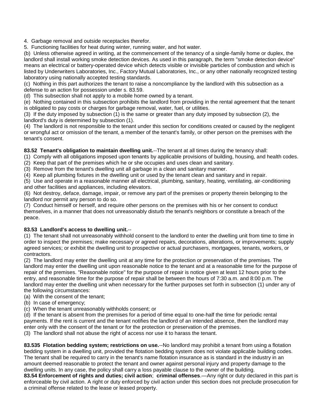4. Garbage removal and outside receptacles therefor.

5. Functioning facilities for heat during winter, running water, and hot water.

(b) Unless otherwise agreed in writing, at the commencement of the tenancy of a single-family home or duplex, the landlord shall install working smoke detection devices. As used in this paragraph, the term "smoke detection device" means an electrical or battery-operated device which detects visible or invisible particles of combustion and which is listed by Underwriters Laboratories, Inc., Factory Mutual Laboratories, Inc., or any other nationally recognized testing laboratory using nationally accepted testing standards.

(c) Nothing in this part authorizes the tenant to raise a noncompliance by the landlord with this subsection as a defense to an action for possession under s. 83.59.

(d) This subsection shall not apply to a mobile home owned by a tenant.

(e) Nothing contained in this subsection prohibits the landlord from providing in the rental agreement that the tenant is obligated to pay costs or charges for garbage removal, water, fuel, or utilities.

(3) If the duty imposed by subsection (1) is the same or greater than any duty imposed by subsection (2), the landlord's duty is determined by subsection (1).

(4) The landlord is not responsible to the tenant under this section for conditions created or caused by the negligent or wrongful act or omission of the tenant, a member of the tenant's family, or other person on the premises with the tenant's consent.

<span id="page-6-0"></span>**83.52 Tenant's obligation to maintain dwelling unit.**--The tenant at all times during the tenancy shall:

(1) Comply with all obligations imposed upon tenants by applicable provisions of building, housing, and health codes.

- (2) Keep that part of the premises which he or she occupies and uses clean and sanitary.
- (3) Remove from the tenant's dwelling unit all garbage in a clean and sanitary manner.
- (4) Keep all plumbing fixtures in the dwelling unit or used by the tenant clean and sanitary and in repair.

(5) Use and operate in a reasonable manner all electrical, plumbing, sanitary, heating, ventilating, air-conditioning and other facilities and appliances, including elevators.

(6) Not destroy, deface, damage, impair, or remove any part of the premises or property therein belonging to the landlord nor permit any person to do so.

(7) Conduct himself or herself, and require other persons on the premises with his or her consent to conduct themselves, in a manner that does not unreasonably disturb the tenant's neighbors or constitute a breach of the peace.

# <span id="page-6-1"></span>**83.53 Landlord's access to dwelling unit.**--

(1) The tenant shall not unreasonably withhold consent to the landlord to enter the dwelling unit from time to time in order to inspect the premises; make necessary or agreed repairs, decorations, alterations, or improvements; supply agreed services; or exhibit the dwelling unit to prospective or actual purchasers, mortgagees, tenants, workers, or contractors.

(2) The landlord may enter the dwelling unit at any time for the protection or preservation of the premises. The landlord may enter the dwelling unit upon reasonable notice to the tenant and at a reasonable time for the purpose of repair of the premises. "Reasonable notice" for the purpose of repair is notice given at least 12 hours prior to the entry, and reasonable time for the purpose of repair shall be between the hours of 7:30 a.m. and 8:00 p.m. The landlord may enter the dwelling unit when necessary for the further purposes set forth in subsection (1) under any of the following circumstances:

- (a) With the consent of the tenant;
- (b) In case of emergency;
- (c) When the tenant unreasonably withholds consent; or

(d) If the tenant is absent from the premises for a period of time equal to one-half the time for periodic rental payments. If the rent is current and the tenant notifies the landlord of an intended absence, then the landlord may enter only with the consent of the tenant or for the protection or preservation of the premises.

(3) The landlord shall not abuse the right of access nor use it to harass the tenant.

<span id="page-6-2"></span>**83.535 Flotation bedding system; restrictions on use.**--No landlord may prohibit a tenant from using a flotation bedding system in a dwelling unit, provided the flotation bedding system does not violate applicable building codes. The tenant shall be required to carry in the tenant's name flotation insurance as is standard in the industry in an amount deemed reasonable to protect the tenant and owner against personal injury and property damage to the dwelling units. In any case, the policy shall carry a loss payable clause to the owner of the building.

<span id="page-6-3"></span>**83.54 Enforcement of rights and duties; civil action**; **criminal offenses**.—Any right or duty declared in this part is enforceable by civil action. A right or duty enforced by civil action under this section does not preclude prosecution for a criminal offense related to the lease or leased property.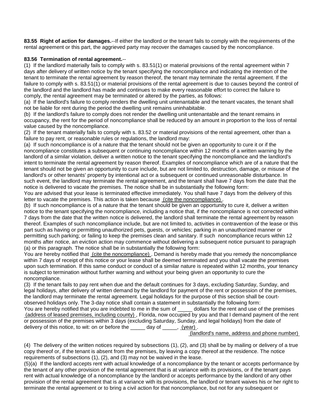**83.55 Right of action for damages.**--If either the landlord or the tenant fails to comply with the requirements of the rental agreement or this part, the aggrieved party may recover the damages caused by the noncompliance.

#### <span id="page-7-0"></span>**83.56 Termination of rental agreement.**--

(1) If the landlord materially fails to comply with s. 83.51(1) or material provisions of the rental agreement within 7 days after delivery of written notice by the tenant specifying the noncompliance and indicating the intention of the tenant to terminate the rental agreement by reason thereof, the tenant may terminate the rental agreement. If the failure to comply with s. 83.51(1) or material provisions of the rental agreement is due to causes beyond the control of the landlord and the landlord has made and continues to make every reasonable effort to correct the failure to comply, the rental agreement may be terminated or altered by the parties, as follows:

(a) If the landlord's failure to comply renders the dwelling unit untenantable and the tenant vacates, the tenant shall not be liable for rent during the period the dwelling unit remains uninhabitable.

(b) If the landlord's failure to comply does not render the dwelling unit untenantable and the tenant remains in occupancy, the rent for the period of noncompliance shall be reduced by an amount in proportion to the loss of rental value caused by the noncompliance.

(2) If the tenant materially fails to comply with s. 83.52 or material provisions of the rental agreement, other than a failure to pay rent, or reasonable rules or regulations, the landlord may:

(a) If such noncompliance is of a nature that the tenant should not be given an opportunity to cure it or if the noncompliance constitutes a subsequent or continuing noncompliance within 12 months of a written warning by the landlord of a similar violation, deliver a written notice to the tenant specifying the noncompliance and the landlord's intent to terminate the rental agreement by reason thereof. Examples of noncompliance which are of a nature that the tenant should not be given an opportunity to cure include, but are not limited to, destruction, damage, or misuse of the landlord's or other tenants' property by intentional act or a subsequent or continued unreasonable disturbance. In such event, the landlord may terminate the rental agreement, and the tenant shall have 7 days from the date that the notice is delivered to vacate the premises. The notice shall be in substantially the following form:

You are advised that your lease is terminated effective immediately. You shall have 7 days from the delivery of this letter to vacate the premises. This action is taken because (cite the noncompliance) .

(b) If such noncompliance is of a nature that the tenant should be given an opportunity to cure it, deliver a written notice to the tenant specifying the noncompliance, including a notice that, if the noncompliance is not corrected within 7 days from the date that the written notice is delivered, the landlord shall terminate the rental agreement by reason thereof. Examples of such noncompliance include, but are not limited to, activities in contravention of the lease or this part such as having or permitting unauthorized pets, guests, or vehicles; parking in an unauthorized manner or permitting such parking; or failing to keep the premises clean and sanitary. If such noncompliance recurs within 12 months after notice, an eviction action may commence without delivering a subsequent notice pursuant to paragraph (a) or this paragraph. The notice shall be in substantially the following form:

You are hereby notified that (cite the noncompliance) . Demand is hereby made that you remedy the noncompliance within 7 days of receipt of this notice or your lease shall be deemed terminated and you shall vacate the premises upon such termination. If this same conduct or conduct of a similar nature is repeated within 12 months, your tenancy is subject to termination without further warning and without your being given an opportunity to cure the noncompliance.

(3) If the tenant fails to pay rent when due and the default continues for 3 days, excluding Saturday, Sunday, and legal holidays, after delivery of written demand by the landlord for payment of the rent or possession of the premises, the landlord may terminate the rental agreement. Legal holidays for the purpose of this section shall be courtobserved holidays only. The 3-day notice shall contain a statement in substantially the following form:

You are hereby notified that you are indebted to me in the sum of dollars for the rent and use of the premises (address of leased premises, including county) , Florida, now occupied by you and that I demand payment of the rent or possession of the premises within 3 days (excluding Saturday, Sunday, and legal holidays) from the date of delivery of this notice, to wit: on or before the \_\_\_\_\_ day of \_\_\_\_, (year).

#### (landlord's name, address and phone number)

(4) The delivery of the written notices required by subsections (1), (2), and (3) shall be by mailing or delivery of a true copy thereof or, if the tenant is absent from the premises, by leaving a copy thereof at the residence. The notice requirements of subsections (1), (2), and (3) may not be waived in the lease.

(5)(a) If the landlord accepts rent with actual knowledge of a noncompliance by the tenant or accepts performance by the tenant of any other provision of the rental agreement that is at variance with its provisions, or if the tenant pays rent with actual knowledge of a noncompliance by the landlord or accepts performance by the landlord of any other provision of the rental agreement that is at variance with its provisions, the landlord or tenant waives his or her right to terminate the rental agreement or to bring a civil action for that noncompliance, but not for any subsequent or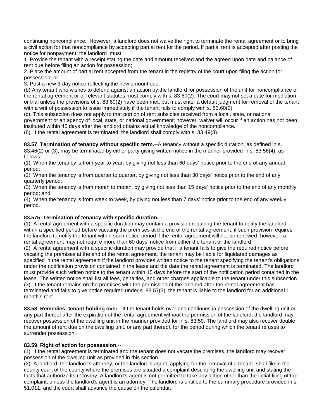continuing noncompliance. However, a landlord does not waive the right to terminate the rental agreement or to bring a civil action for that noncompliance by accepting partial rent for the period. If partial rent is accepted after posting the notice for nonpayment, the landlord must:

1. Provide the tenant with a receipt stating the date and amount received and the agreed upon date and balance of rent due before filing an action for possession;

2. Place the amount of partial rent accepted from the tenant in the registry of the court upon filing the action for possession; or

3. Post a new 3-day notice reflecting the new amount due.

(b) Any tenant who wishes to defend against an action by the landlord for possession of the unit for noncompliance of the rental agreement or of relevant statutes must comply with s. 83.60(2). The court may not set a date for mediation or trial unless the provisions of s. 83.60(2) have been met, but must enter a default judgment for removal of the tenant with a writ of possession to issue immediately if the tenant fails to comply with s. 83.60(2).

(c). This subsection does not apply to that portion of rent subsidies received from a local, state, or national government or an agency of local, state, or national government; however, waiver will occur if an action has not been instituted within 45 days after the landlord obtains actual knowledge of the noncompliance.

(6) If the rental agreement is terminated, the landlord shall comply with s. 83.49(3).

<span id="page-8-0"></span>**83.57 Termination of tenancy without specific term.**--A tenancy without a specific duration, as defined in s. 83.46(2) or (3), may be terminated by either party giving written notice in the manner provided in s. 83.56(4), as follows:

(1) When the tenancy is from year to year, by giving not less than 60 days' notice prior to the end of any annual period;

(2) When the tenancy is from quarter to quarter, by giving not less than 30 days' notice prior to the end of any quarterly period;

(3) When the tenancy is from month to month, by giving not less than 15 days' notice prior to the end of any monthly period; and

(4) When the tenancy is from week to week, by giving not less than 7 days' notice prior to the end of any weekly period.

#### <span id="page-8-1"></span>**83.575 Termination of tenancy with specific duration.**--

(1) A rental agreement with a specific duration may contain a provision requiring the tenant to notify the landlord within a specified period before vacating the premises at the end of the rental agreement, if such provision requires the landlord to notify the tenant within such notice period if the rental agreement will not be renewed; however, a rental agreement may not require more than 60 days' notice from either the tenant or the landlord.

(2) A rental agreement with a specific duration may provide that if a tenant fails to give the required notice before vacating the premises at the end of the rental agreement, the tenant may be liable for liquidated damages as specified in the rental agreement if the landlord provides written notice to the tenant specifying the tenant's obligations under the notification provision contained in the lease and the date the rental agreement is terminated. The landlord must provide such written notice to the tenant within 15 days before the start of the notification period contained in the lease. The written notice shall list all fees, penalties, and other charges applicable to the tenant under this subsection. (3) If the tenant remains on the premises with the permission of the landlord after the rental agreement has terminated and fails to give notice required under s. 83.57(3), the tenant is liable to the landlord for an additional 1 month's rent.

<span id="page-8-2"></span>**83.58 Remedies; tenant holding over.**--If the tenant holds over and continues in possession of the dwelling unit or any part thereof after the expiration of the rental agreement without the permission of the landlord, the landlord may recover possession of the dwelling unit in the manner provided for in s. 83.59. The landlord may also recover double the amount of rent due on the dwelling unit, or any part thereof, for the period during which the tenant refuses to surrender possession.

#### <span id="page-8-3"></span>**83.59 Right of action for possession.**--

(1) If the rental agreement is terminated and the tenant does not vacate the premises, the landlord may recover possession of the dwelling unit as provided in this section.

(2) A landlord, the landlord's attorney, or the landlord's agent, applying for the removal of a tenant, shall file in the county court of the county where the premises are situated a complaint describing the dwelling unit and stating the facts that authorize its recovery. A landlord's agent is not permitted to take any action other than the initial filing of the complaint, unless the landlord's agent is an attorney. The landlord is entitled to the summary procedure provided in s. 51.011, and the court shall advance the cause on the calendar.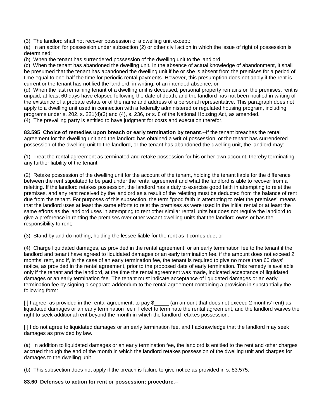(3) The landlord shall not recover possession of a dwelling unit except:

(a) In an action for possession under subsection (2) or other civil action in which the issue of right of possession is determined;

(b) When the tenant has surrendered possession of the dwelling unit to the landlord;

(c) When the tenant has abandoned the dwelling unit. In the absence of actual knowledge of abandonment, it shall be presumed that the tenant has abandoned the dwelling unit if he or she is absent from the premises for a period of time equal to one-half the time for periodic rental payments. However, this presumption does not apply if the rent is current or the tenant has notified the landlord, in writing, of an intended absence; or

(d) When the last remaining tenant of a dwelling unit is deceased, personal property remains on the premises, rent is unpaid, at least 60 days have elapsed following the date of death, and the landlord has not been notified in writing of the existence of a probate estate or of the name and address of a personal representative. This paragraph does not apply to a dwelling unit used in connection with a federally administered or regulated housing program, including programs under s. 202, s. 221(d)(3) and (4), s. 236, or s. 8 of the National Housing Act, as amended. (4) The prevailing party is entitled to have judgment for costs and execution therefor.

<span id="page-9-0"></span>**83.595 Choice of remedies upon breach or early termination by tenant**.--If the tenant breaches the rental agreement for the dwelling unit and the landlord has obtained a writ of possession, or the tenant has surrendered possession of the dwelling unit to the landlord, or the tenant has abandoned the dwelling unit, the landlord may:

(1) Treat the rental agreement as terminated and retake possession for his or her own account, thereby terminating any further liability of the tenant;

(2) Retake possession of the dwelling unit for the account of the tenant, holding the tenant liable for the difference between the rent stipulated to be paid under the rental agreement and what the landlord is able to recover from a reletting. If the landlord retakes possession, the landlord has a duty to exercise good faith in attempting to relet the premises, and any rent received by the landlord as a result of the reletting must be deducted from the balance of rent due from the tenant. For purposes of this subsection, the term "good faith in attempting to relet the premises" means that the landlord uses at least the same efforts to relet the premises as were used in the initial rental or at least the same efforts as the landlord uses in attempting to rent other similar rental units but does not require the landlord to give a preference in renting the premises over other vacant dwelling units that the landlord owns or has the responsibility to rent;

(3) Stand by and do nothing, holding the lessee liable for the rent as it comes due; or

(4) Charge liquidated damages, as provided in the rental agreement, or an early termination fee to the tenant if the landlord and tenant have agreed to liquidated damages or an early termination fee, if the amount does not exceed 2 months' rent, and if, in the case of an early termination fee, the tenant is required to give no more than 60 days' notice, as provided in the rental agreement, prior to the proposed date of early termination. This remedy is available only if the tenant and the landlord, at the time the rental agreement was made, indicated acceptance of liquidated damages or an early termination fee. The tenant must indicate acceptance of liquidated damages or an early termination fee by signing a separate addendum to the rental agreement containing a provision in substantially the following form:

 $[ ]$  I agree, as provided in the rental agreement, to pay  $\mathcal{L}$  (an amount that does not exceed 2 months' rent) as liquidated damages or an early termination fee if I elect to terminate the rental agreement, and the landlord waives the right to seek additional rent beyond the month in which the landlord retakes possession.

[ ] I do not agree to liquidated damages or an early termination fee, and I acknowledge that the landlord may seek damages as provided by law.

(a) In addition to liquidated damages or an early termination fee, the landlord is entitled to the rent and other charges accrued through the end of the month in which the landlord retakes possession of the dwelling unit and charges for damages to the dwelling unit.

(b) This subsection does not apply if the breach is failure to give notice as provided in s. 83.575.

<span id="page-9-1"></span>**83.60 Defenses to action for rent or possession; procedure.**--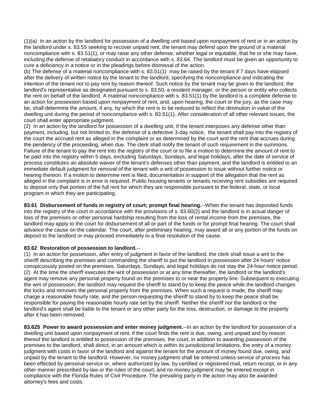(1)(a) In an action by the landlord for possession of a dwelling unit based upon nonpayment of rent or in an action by the landlord under s. 83.55 seeking to recover unpaid rent, the tenant may defend upon the ground of a material noncompliance with s. 83.51(1), or may raise any other defense, whether legal or equitable, that he or she may have, including the defense of retaliatory conduct in accordance with s. 83.64. The landlord must be given an opportunity to cure a deficiency in a notice or in the pleadings before dismissal of the action.

(b) The defense of a material noncompliance with s. 83.51(1) may be raised by the tenant if 7 days have elapsed after the delivery of written notice by the tenant to the landlord, specifying the noncompliance and indicating the intention of the tenant not to pay rent by reason thereof. Such notice by the tenant may be given to the landlord, the landlord's representative as designated pursuant to s. 83.50, a resident manager, or the person or entity who collects the rent on behalf of the landlord. A material noncompliance with s. 83.51(1) by the landlord is a complete defense to an action for possession based upon nonpayment of rent, and, upon hearing, the court or the jury, as the case may be, shall determine the amount, if any, by which the rent is to be reduced to reflect the diminution in value of the dwelling unit during the period of noncompliance with s. 83.51(1). After consideration of all other relevant issues, the court shall enter appropriate judgment.

(2) In an action by the landlord for possession of a dwelling unit, if the tenant interposes any defense other than payment, including, but not limited to, the defense of a defective 3-day notice, the tenant shall pay into the registry of the court the accrued rent as alleged in the complaint or as determined by the court and the rent that accrues during the pendency of the proceeding, when due. The clerk shall notify the tenant of such requirement in the summons. Failure of the tenant to pay the rent into the registry of the court or to file a motion to determine the amount of rent to be paid into the registry within 5 days, excluding Saturdays, Sundays, and legal holidays, after the date of service of process constitutes an absolute waiver of the tenant's defenses other than payment, and the landlord is entitled to an immediate default judgment for removal of the tenant with a writ of possession to issue without further notice or hearing thereon. If a motion to determine rent is filed, documentation in support of the allegation that the rent as alleged in the complaint is in error is required. Public housing tenants or tenants receiving rent subsidies are required to deposit only that portion of the full rent for which they are responsible pursuant to the federal, state, or local program in which they are participating.

<span id="page-10-0"></span>**83.61 Disbursement of funds in registry of court; prompt final hearing.**--When the tenant has deposited funds into the registry of the court in accordance with the provisions of s. 83.60(2) and the landlord is in actual danger of loss of the premises or other personal hardship resulting from the loss of rental income from the premises, the landlord may apply to the court for disbursement of all or part of the funds or for prompt final hearing. The court shall advance the cause on the calendar. The court, after preliminary hearing, may award all or any portion of the funds on deposit to the landlord or may proceed immediately to a final resolution of the cause.

#### <span id="page-10-1"></span>**83.62 Restoration of possession to landlord.**--

(1) In an action for possession, after entry of judgment in favor of the landlord, the clerk shall issue a writ to the sheriff describing the premises and commanding the sheriff to put the landlord in possession after 24 hours' notice conspicuously posted on the premises. Saturdays, Sundays, and legal holidays do not stay the 24-hour notice period. (2) At the time the sheriff executes the writ of possession or at any time thereafter, the landlord or the landlord's agent may remove any personal property found on the premises to or near the property line. Subsequent to executing the writ of possession, the landlord may request the sheriff to stand by to keep the peace while the landlord changes the locks and removes the personal property from the premises. When such a request is made, the sheriff may charge a reasonable hourly rate, and the person requesting the sheriff to stand by to keep the peace shall be responsible for paying the reasonable hourly rate set by the sheriff. Neither the sheriff nor the landlord or the landlord's agent shall be liable to the tenant or any other party for the loss, destruction, or damage to the property after it has been removed.

<span id="page-10-2"></span>**83.625 Power to award possession and enter money judgment.**--In an action by the landlord for possession of a dwelling unit based upon nonpayment of rent, if the court finds the rent is due, owing, and unpaid and by reason thereof the landlord is entitled to possession of the premises, the court, in addition to awarding possession of the premises to the landlord, shall direct, in an amount which is within its jurisdictional limitations, the entry of a money judgment with costs in favor of the landlord and against the tenant for the amount of money found due, owing, and unpaid by the tenant to the landlord. However, no money judgment shall be entered unless service of process has been effected by personal service or, where authorized by law, by certified or registered mail, return receipt, or in any other manner prescribed by law or the rules of the court; and no money judgment may be entered except in compliance with the Florida Rules of Civil Procedure. The prevailing party in the action may also be awarded attorney's fees and costs.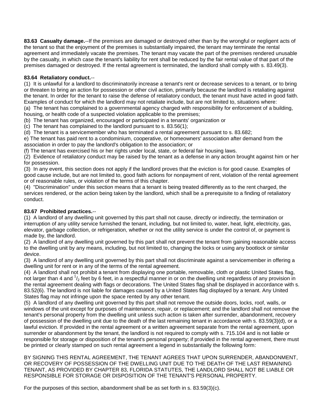<span id="page-11-0"></span>**83.63 Casualty damage.**--If the premises are damaged or destroyed other than by the wrongful or negligent acts of the tenant so that the enjoyment of the premises is substantially impaired, the tenant may terminate the rental agreement and immediately vacate the premises. The tenant may vacate the part of the premises rendered unusable by the casualty, in which case the tenant's liability for rent shall be reduced by the fair rental value of that part of the premises damaged or destroyed. If the rental agreement is terminated, the landlord shall comply with s. 83.49(3).

# <span id="page-11-1"></span>**83.64 Retaliatory conduct.**--

(1) It is unlawful for a landlord to discriminatorily increase a tenant's rent or decrease services to a tenant, or to bring or threaten to bring an action for possession or other civil action, primarily because the landlord is retaliating against the tenant. In order for the tenant to raise the defense of retaliatory conduct, the tenant must have acted in good faith. Examples of conduct for which the landlord may not retaliate include, but are not limited to, situations where:

(a) The tenant has complained to a governmental agency charged with responsibility for enforcement of a building, housing, or health code of a suspected violation applicable to the premises;

(b) The tenant has organized, encouraged or participated in a tenants' organization or

(c) The tenant has complained to the landlord pursuant to s. 83.56(1);

(d) The tenant is a servicemember who has terminated a rental agreement pursuant to s. 83.682;

e) The tenant has paid rent to a condominium, cooperative, or homeowners' association after demand from the association in order to pay the landlord's obligation to the association; or

(f) The tenant has exercised his or her rights under local, state, or federal fair housing laws.

(2) Evidence of retaliatory conduct may be raised by the tenant as a defense in any action brought against him or her for possession.

(3) In any event, this section does not apply if the landlord proves that the eviction is for good cause. Examples of good cause include, but are not limited to, good faith actions for nonpayment of rent, violation of the rental agreement or of reasonable rules, or violation of the terms of this chapter.

(4) "Discrimination" under this section means that a tenant is being treated differently as to the rent charged, the services rendered, or the action being taken by the landlord, which shall be a prerequisite to a finding of retaliatory conduct.

#### <span id="page-11-2"></span>**83.67 Prohibited practices.**--

(1) A landlord of any dwelling unit governed by this part shall not cause, directly or indirectly, the termination or interruption of any utility service furnished the tenant, including, but not limited to, water, heat, light, electricity, gas, elevator, garbage collection, or refrigeration, whether or not the utility service is under the control of, or payment is made by, the landlord.

(2) A landlord of any dwelling unit governed by this part shall not prevent the tenant from gaining reasonable access to the dwelling unit by any means, including, but not limited to, changing the locks or using any bootlock or similar device.

(3) A landlord of any dwelling unit governed by this part shall not discriminate against a servicemember in offering a dwelling unit for rent or in any of the terms of the rental agreement.

(4) A landlord shall not prohibit a tenant from displaying one portable, removable, cloth or plastic United States flag, not larger than 4 and  $\frac{1}{2}$  feet by 6 feet, in a respectful manner in or on the dwelling unit regardless of any provision in the rental agreement dealing with flags or decorations. The United States flag shall be displayed in accordance with s. 83.52(6). The landlord is not liable for damages caused by a United States flag displayed by a tenant. Any United States flag may not infringe upon the space rented by any other tenant.

(5) A landlord of any dwelling unit governed by this part shall not remove the outside doors, locks, roof, walls, or windows of the unit except for purposes of maintenance, repair, or replacement; and the landlord shall not remove the tenant's personal property from the dwelling unit unless such action is taken after surrender, abandonment, recovery of possession of the dwelling unit due to the death of the last remaining tenant in accordance with s. 83.59(3)(d), or a lawful eviction. If provided in the rental agreement or a written agreement separate from the rental agreement, upon surrender or abandonment by the tenant, the landlord is not required to comply with s. 715.104 and is not liable or responsible for storage or disposition of the tenant's personal property; if provided in the rental agreement, there must be printed or clearly stamped on such rental agreement a legend in substantially the following form:

BY SIGNING THIS RENTAL AGREEMENT, THE TENANT AGREES THAT UPON SURRENDER, ABANDONMENT, OR RECOVERY OF POSSESSION OF THE DWELLING UNIT DUE TO THE DEATH OF THE LAST REMAINING TENANT, AS PROVIDED BY CHAPTER 83, FLORIDA STATUTES, THE LANDLORD SHALL NOT BE LIABLE OR RESPONSIBLE FOR STORAGE OR DISPOSITION OF THE TENANT'S PERSONAL PROPERTY.

For the purposes of this section, abandonment shall be as set forth in s. 83.59(3)(c).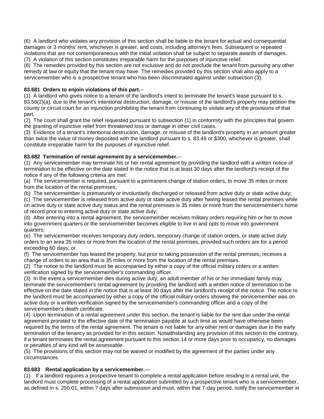(6) A landlord who violates any provision of this section shall be liable to the tenant for actual and consequential damages or 3 months' rent, whichever is greater, and costs, including attorney's fees. Subsequent or repeated violations that are not contemporaneous with the initial violation shall be subject to separate awards of damages. (7) A violation of this section constitutes irreparable harm for the purposes of injunctive relief.

(8) The remedies provided by this section are not exclusive and do not preclude the tenant from pursuing any other remedy at law or equity that the tenant may have. The remedies provided by this section shall also apply to a servicemember who is a prospective tenant who has been discriminated against under subsection (3).

# <span id="page-12-0"></span>**83.681 Orders to enjoin violations of this part.**--

(1) A landlord who gives notice to a tenant of the landlord's intent to terminate the tenant's lease pursuant to s. 83.56(2)(a), due to the tenant's intentional destruction, damage, or misuse of the landlord's property may petition the county or circuit court for an injunction prohibiting the tenant from continuing to violate any of the provisions of that part.

(2) The court shall grant the relief requested pursuant to subsection (1) in conformity with the principles that govern the granting of injunctive relief from threatened loss or damage in other civil cases.

(3) Evidence of a tenant's intentional destruction, damage, or misuse of the landlord's property in an amount greater than twice the value of money deposited with the landlord pursuant to s. 83.49 or \$300, whichever is greater, shall constitute irreparable harm for the purposes of injunctive relief.

# <span id="page-12-1"></span>**83.682 Termination of rental agreement by a servicemember.**--

(1) Any servicemember may terminate his or her rental agreement by providing the landlord with a written notice of termination to be effective on the date stated in the notice that is at least 30 days after the landlord's receipt of the notice if any of the following criteria are met:

(a) The servicemember is required, pursuant to a permanent change of station orders, to move 35 miles or more from the location of the rental premises;

(b) The servicemember is prematurely or involuntarily discharged or released from active duty or state active duty;

(c) The servicemember is released from active duty or state active duty after having leased the rental premises while on active duty or state active duty status and the rental premises is 35 miles or more from the servicemember's home of record prior to entering active duty or state active duty;

(d) After entering into a rental agreement, the servicemember receives military orders requiring him or her to move into government quarters or the servicemember becomes eligible to live in and opts to move into government quarters;

(e) The servicemember receives temporary duty orders, temporary change of station orders, or state active duty orders to an area 35 miles or more from the location of the rental premises, provided such orders are for a period exceeding 60 days; or

(f) The servicemember has leased the property, but prior to taking possession of the rental premises, receives a change of orders to an area that is 35 miles or more from the location of the rental premises.

(2) The notice to the landlord must be accompanied by either a copy of the official military orders or a written verification signed by the servicemember's commanding officer.

(3) In the event a servicemember dies during active duty, an adult member of his or her immediate family may terminate the servicemember's rental agreement by providing the landlord with a written notice of termination to be effective on the date stated in the notice that is at least 30 days after the landlord's receipt of the notice. The notice to the landlord must be accompanied by either a copy of the official military orders showing the servicemember was on active duty or a written verification signed by the servicemember's commanding officer and a copy of the servicemember's death certificate.

(4) Upon termination of a rental agreement under this section, the tenant is liable for the rent due under the rental agreement prorated to the effective date of the termination payable at such time as would have otherwise been required by the terms of the rental agreement. The tenant is not liable for any other rent or damages due to the early termination of the tenancy as provided for in this section. Notwithstanding any provision of this section to the contrary, if a tenant terminates the rental agreement pursuant to this section 14 or more days prior to occupancy, no damages or penalties of any kind will be assessable.

(5) The provisions of this section may not be waived or modified by the agreement of the parties under any circumstances.

# **83.683 Rental application by a servicemember.**—

(1) If a landlord requires a prospective tenant to complete a rental application before residing in a rental unit, the landlord must complete processing of a rental application submitted by a prospective tenant who is a servicemember, as defined in s. 250.01, within 7 days after submission and must, within that 7-day period, notify the servicemember in